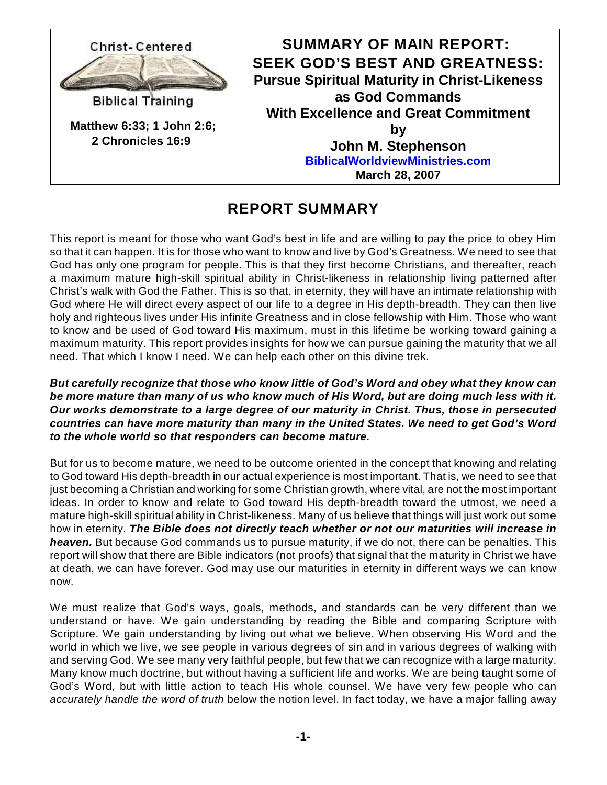

## **REPORT SUMMARY**

This report is meant for those who want God's best in life and are willing to pay the price to obey Him so that it can happen. It is for those who want to know and live by God's Greatness. We need to see that God has only one program for people. This is that they first become Christians, and thereafter, reach a maximum mature high-skill spiritual ability in Christ-likeness in relationship living patterned after Christ's walk with God the Father. This is so that, in eternity, they will have an intimate relationship with God where He will direct every aspect of our life to a degree in His depth-breadth. They can then live holy and righteous lives under His infinite Greatness and in close fellowship with Him. Those who want to know and be used of God toward His maximum, must in this lifetime be working toward gaining a maximum maturity. This report provides insights for how we can pursue gaining the maturity that we all need. That which I know I need. We can help each other on this divine trek.

## *But carefully recognize that those who know little of God's Word and obey what they know can be more mature than many of us who know much of His Word, but are doing much less with it. Our works demonstrate to a large degree of our maturity in Christ. Thus, those in persecuted countries can have more maturity than many in the United States. We need to get God's Word to the whole world so that responders can become mature.*

But for us to become mature, we need to be outcome oriented in the concept that knowing and relating to God toward His depth-breadth in our actual experience is most important. That is, we need to see that just becoming a Christian and working for some Christian growth, where vital, are not the most important ideas. In order to know and relate to God toward His depth-breadth toward the utmost, we need a mature high-skill spiritual ability in Christ-likeness. Many of us believe that things will just work out some how in eternity. *The Bible does not directly teach whether or not our maturities will increase in heaven.* But because God commands us to pursue maturity, if we do not, there can be penalties. This report will show that there are Bible indicators (not proofs) that signal that the maturity in Christ we have at death, we can have forever. God may use our maturities in eternity in different ways we can know now.

We must realize that God's ways, goals, methods, and standards can be very different than we understand or have. We gain understanding by reading the Bible and comparing Scripture with Scripture. We gain understanding by living out what we believe. When observing His Word and the world in which we live, we see people in various degrees of sin and in various degrees of walking with and serving God. We see many very faithful people, but few that we can recognize with a large maturity. Many know much doctrine, but without having a sufficient life and works. We are being taught some of God's Word, but with little action to teach His whole counsel. We have very few people who can *accurately handle the word of truth* below the notion level. In fact today, we have a major falling away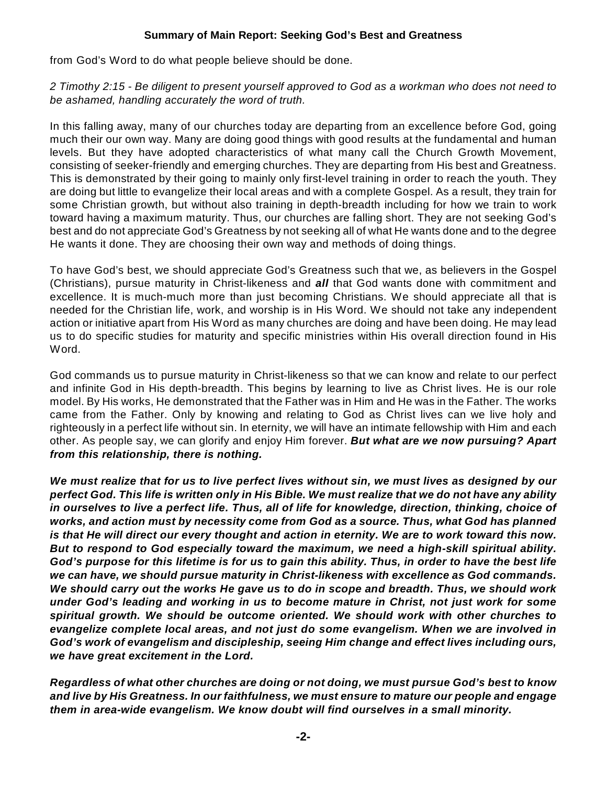## **Summary of Main Report: Seeking God's Best and Greatness**

from God's Word to do what people believe should be done.

*2 Timothy 2:15 - Be diligent to present yourself approved to God as a workman who does not need to be ashamed, handling accurately the word of truth.*

In this falling away, many of our churches today are departing from an excellence before God, going much their our own way. Many are doing good things with good results at the fundamental and human levels. But they have adopted characteristics of what many call the Church Growth Movement, consisting of seeker-friendly and emerging churches. They are departing from His best and Greatness. This is demonstrated by their going to mainly only first-level training in order to reach the youth. They are doing but little to evangelize their local areas and with a complete Gospel. As a result, they train for some Christian growth, but without also training in depth-breadth including for how we train to work toward having a maximum maturity. Thus, our churches are falling short. They are not seeking God's best and do not appreciate God's Greatness by not seeking all of what He wants done and to the degree He wants it done. They are choosing their own way and methods of doing things.

To have God's best, we should appreciate God's Greatness such that we, as believers in the Gospel (Christians), pursue maturity in Christ-likeness and *all* that God wants done with commitment and excellence. It is much-much more than just becoming Christians. We should appreciate all that is needed for the Christian life, work, and worship is in His Word. We should not take any independent action or initiative apart from His Word as many churches are doing and have been doing. He may lead us to do specific studies for maturity and specific ministries within His overall direction found in His Word.

God commands us to pursue maturity in Christ-likeness so that we can know and relate to our perfect and infinite God in His depth-breadth. This begins by learning to live as Christ lives. He is our role model. By His works, He demonstrated that the Father was in Him and He was in the Father. The works came from the Father. Only by knowing and relating to God as Christ lives can we live holy and righteously in a perfect life without sin. In eternity, we will have an intimate fellowship with Him and each other. As people say, we can glorify and enjoy Him forever. *But what are we now pursuing? Apart from this relationship, there is nothing.* 

*We must realize that for us to live perfect lives without sin, we must lives as designed by our perfect God. This life is written only in His Bible. We must realize that we do not have any ability in ourselves to live a perfect life. Thus, all of life for knowledge, direction, thinking, choice of works, and action must by necessity come from God as a source. Thus, what God has planned is that He will direct our every thought and action in eternity. We are to work toward this now. But to respond to God especially toward the maximum, we need a high-skill spiritual ability. God's purpose for this lifetime is for us to gain this ability. Thus, in order to have the best life we can have, we should pursue maturity in Christ-likeness with excellence as God commands. We should carry out the works He gave us to do in scope and breadth. Thus, we should work under God's leading and working in us to become mature in Christ, not just work for some spiritual growth. We should be outcome oriented. We should work with other churches to evangelize complete local areas, and not just do some evangelism. When we are involved in God's work of evangelism and discipleship, seeing Him change and effect lives including ours, we have great excitement in the Lord.*

*Regardless of what other churches are doing or not doing, we must pursue God's best to know and live by His Greatness. In our faithfulness, we must ensure to mature our people and engage them in area-wide evangelism. We know doubt will find ourselves in a small minority.*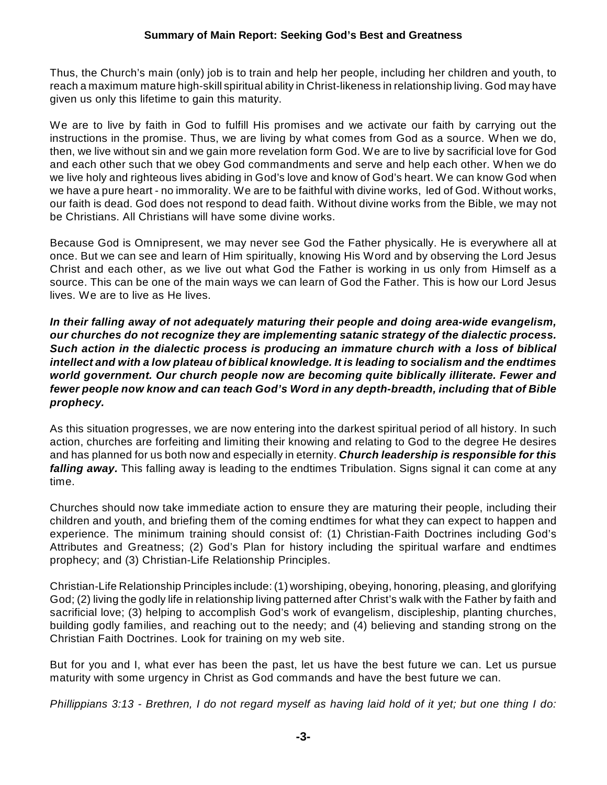Thus, the Church's main (only) job is to train and help her people, including her children and youth, to reach a maximum mature high-skill spiritual ability in Christ-likeness in relationship living. God may have given us only this lifetime to gain this maturity.

We are to live by faith in God to fulfill His promises and we activate our faith by carrying out the instructions in the promise. Thus, we are living by what comes from God as a source. When we do, then, we live without sin and we gain more revelation form God. We are to live by sacrificial love for God and each other such that we obey God commandments and serve and help each other. When we do we live holy and righteous lives abiding in God's love and know of God's heart. We can know God when we have a pure heart - no immorality. We are to be faithful with divine works, led of God. Without works, our faith is dead. God does not respond to dead faith. Without divine works from the Bible, we may not be Christians. All Christians will have some divine works.

Because God is Omnipresent, we may never see God the Father physically. He is everywhere all at once. But we can see and learn of Him spiritually, knowing His Word and by observing the Lord Jesus Christ and each other, as we live out what God the Father is working in us only from Himself as a source. This can be one of the main ways we can learn of God the Father. This is how our Lord Jesus lives. We are to live as He lives.

*In their falling away of not adequately maturing their people and doing area-wide evangelism, our churches do not recognize they are implementing satanic strategy of the dialectic process. Such action in the dialectic process is producing an immature church with a loss of biblical intellect and with a low plateau of biblical knowledge. It is leading to socialism and the endtimes world government. Our church people now are becoming quite biblically illiterate. Fewer and fewer people now know and can teach God's Word in any depth-breadth, including that of Bible prophecy.*

As this situation progresses, we are now entering into the darkest spiritual period of all history. In such action, churches are forfeiting and limiting their knowing and relating to God to the degree He desires and has planned for us both now and especially in eternity. *Church leadership is responsible for this falling away.* This falling away is leading to the endtimes Tribulation. Signs signal it can come at any time.

Churches should now take immediate action to ensure they are maturing their people, including their children and youth, and briefing them of the coming endtimes for what they can expect to happen and experience. The minimum training should consist of: (1) Christian-Faith Doctrines including God's Attributes and Greatness; (2) God's Plan for history including the spiritual warfare and endtimes prophecy; and (3) Christian-Life Relationship Principles.

Christian-Life Relationship Principles include: (1) worshiping, obeying, honoring, pleasing, and glorifying God; (2) living the godly life in relationship living patterned after Christ's walk with the Father by faith and sacrificial love; (3) helping to accomplish God's work of evangelism, discipleship, planting churches, building godly families, and reaching out to the needy; and (4) believing and standing strong on the Christian Faith Doctrines. Look for training on my web site.

But for you and I, what ever has been the past, let us have the best future we can. Let us pursue maturity with some urgency in Christ as God commands and have the best future we can.

Phillippians 3:13 - Brethren, I do not regard myself as having laid hold of it yet; but one thing I do: